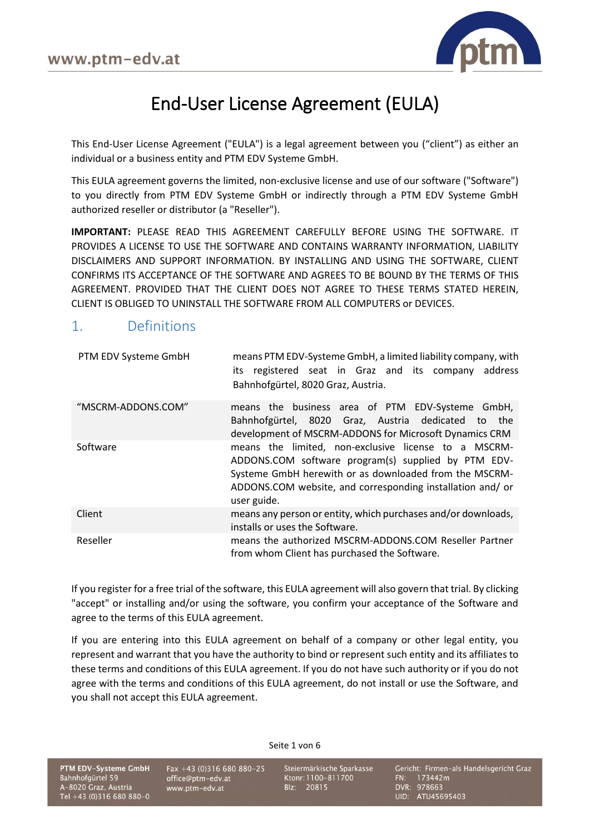

# End-User License Agreement (EULA)

This End-User License Agreement ("EULA") is a legal agreement between you ("client") as either an individual or a business entity and PTM EDV Systeme GmbH.

This EULA agreement governs the limited, non-exclusive license and use of our software ("Software") to you directly from PTM EDV Systeme GmbH or indirectly through a PTM EDV Systeme GmbH authorized reseller or distributor (a "Reseller").

**IMPORTANT:** PLEASE READ THIS AGREEMENT CAREFULLY BEFORE USING THE SOFTWARE. IT PROVIDES A LICENSE TO USE THE SOFTWARE AND CONTAINS WARRANTY INFORMATION, LIABILITY DISCLAIMERS AND SUPPORT INFORMATION. BY INSTALLING AND USING THE SOFTWARE, CLIENT CONFIRMS ITS ACCEPTANCE OF THE SOFTWARE AND AGREES TO BE BOUND BY THE TERMS OF THIS AGREEMENT. PROVIDED THAT THE CLIENT DOES NOT AGREE TO THESE TERMS STATED HEREIN, CLIENT IS OBLIGED TO UNINSTALL THE SOFTWARE FROM ALL COMPUTERS or DEVICES.

#### 1. Definitions

| PTM EDV Systeme GmbH | means PTM EDV-Systeme GmbH, a limited liability company, with<br>its registered seat in Graz and its company<br>address<br>Bahnhofgürtel, 8020 Graz, Austria.                                                                                     |
|----------------------|---------------------------------------------------------------------------------------------------------------------------------------------------------------------------------------------------------------------------------------------------|
| "MSCRM-ADDONS.COM"   | means the business area of PTM EDV-Systeme GmbH,<br>Bahnhofgürtel, 8020 Graz, Austria dedicated<br>the<br>to<br>development of MSCRM-ADDONS for Microsoft Dynamics CRM                                                                            |
| Software             | means the limited, non-exclusive license to a MSCRM-<br>ADDONS.COM software program(s) supplied by PTM EDV-<br>Systeme GmbH herewith or as downloaded from the MSCRM-<br>ADDONS.COM website, and corresponding installation and/or<br>user guide. |
| Client               | means any person or entity, which purchases and/or downloads,<br>installs or uses the Software.                                                                                                                                                   |
| Reseller             | means the authorized MSCRM-ADDONS.COM Reseller Partner<br>from whom Client has purchased the Software.                                                                                                                                            |

If you register for a free trial of the software, this EULA agreement will also govern that trial. By clicking "accept" or installing and/or using the software, you confirm your acceptance of the Software and agree to the terms of this EULA agreement.

If you are entering into this EULA agreement on behalf of a company or other legal entity, you represent and warrant that you have the authority to bind or represent such entity and its affiliates to these terms and conditions of this EULA agreement. If you do not have such authority or if you do not agree with the terms and conditions of this EULA agreement, do not install or use the Software, and you shall not accept this EULA agreement.

Seite 1 von 6

PTM EDV-Systeme GmbH Bahnhofgürtel 59 A-8020 Graz, Austria Tel +43 (0)316 680 880-0 Fax +43 (0)316 680 880-25 office@ptm-edv.at www.ptm-edv.at

Steiermärkische Sparkasse Ktonr: 1100-811700 Blz: 20815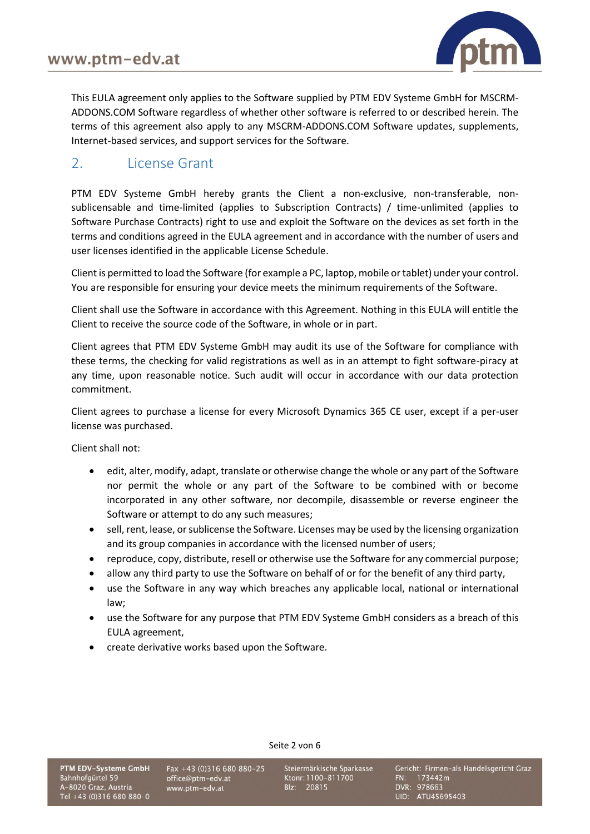

This EULA agreement only applies to the Software supplied by PTM EDV Systeme GmbH for MSCRM-ADDONS.COM Software regardless of whether other software is referred to or described herein. The terms of this agreement also apply to any MSCRM-ADDONS.COM Software updates, supplements, Internet-based services, and support services for the Software.

#### 2. License Grant

PTM EDV Systeme GmbH hereby grants the Client a non-exclusive, non-transferable, nonsublicensable and time-limited (applies to Subscription Contracts) / time-unlimited (applies to Software Purchase Contracts) right to use and exploit the Software on the devices as set forth in the terms and conditions agreed in the EULA agreement and in accordance with the number of users and user licenses identified in the applicable License Schedule.

Client is permitted to load the Software (for example a PC, laptop, mobile or tablet) under your control. You are responsible for ensuring your device meets the minimum requirements of the Software.

Client shall use the Software in accordance with this Agreement. Nothing in this EULA will entitle the Client to receive the source code of the Software, in whole or in part.

Client agrees that PTM EDV Systeme GmbH may audit its use of the Software for compliance with these terms, the checking for valid registrations as well as in an attempt to fight software-piracy at any time, upon reasonable notice. Such audit will occur in accordance with our data protection commitment.

Client agrees to purchase a license for every Microsoft Dynamics 365 CE user, except if a per-user license was purchased.

Client shall not:

- edit, alter, modify, adapt, translate or otherwise change the whole or any part of the Software nor permit the whole or any part of the Software to be combined with or become incorporated in any other software, nor decompile, disassemble or reverse engineer the Software or attempt to do any such measures;
- sell, rent, lease, or sublicense the Software. Licenses may be used by the licensing organization and its group companies in accordance with the licensed number of users;
- reproduce, copy, distribute, resell or otherwise use the Software for any commercial purpose;
- allow any third party to use the Software on behalf of or for the benefit of any third party,
- use the Software in any way which breaches any applicable local, national or international law;
- use the Software for any purpose that PTM EDV Systeme GmbH considers as a breach of this EULA agreement,

Seite 2 von 6

• create derivative works based upon the Software.

Fax +43 (0)316 680 880-25 office@ptm-edv.at www.ptm-edv.at

Steiermärkische Sparkasse Ktonr: 1100-811700 Blz: 20815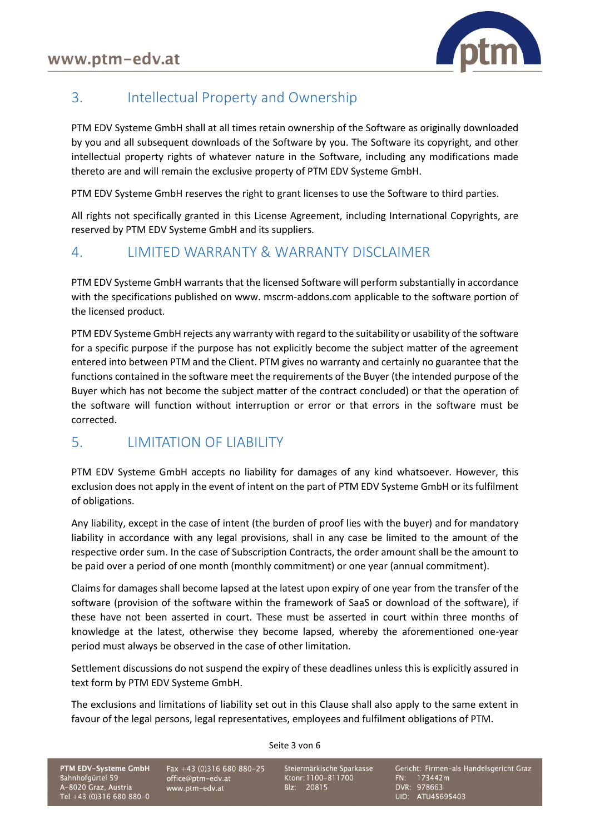

## 3. Intellectual Property and Ownership

PTM EDV Systeme GmbH shall at all times retain ownership of the Software as originally downloaded by you and all subsequent downloads of the Software by you. The Software its copyright, and other intellectual property rights of whatever nature in the Software, including any modifications made thereto are and will remain the exclusive property of PTM EDV Systeme GmbH.

PTM EDV Systeme GmbH reserves the right to grant licenses to use the Software to third parties.

All rights not specifically granted in this License Agreement, including International Copyrights, are reserved by PTM EDV Systeme GmbH and its suppliers.

#### 4. LIMITED WARRANTY & WARRANTY DISCLAIMER

PTM EDV Systeme GmbH warrants that the licensed Software will perform substantially in accordance with the specifications published on www. mscrm-addons.com applicable to the software portion of the licensed product.

PTM EDV Systeme GmbH rejects any warranty with regard to the suitability or usability of the software for a specific purpose if the purpose has not explicitly become the subject matter of the agreement entered into between PTM and the Client. PTM gives no warranty and certainly no guarantee that the functions contained in the software meet the requirements of the Buyer (the intended purpose of the Buyer which has not become the subject matter of the contract concluded) or that the operation of the software will function without interruption or error or that errors in the software must be corrected.

## 5. LIMITATION OF LIABILITY

PTM EDV Systeme GmbH accepts no liability for damages of any kind whatsoever. However, this exclusion does not apply in the event of intent on the part of PTM EDV Systeme GmbH or its fulfilment of obligations.

Any liability, except in the case of intent (the burden of proof lies with the buyer) and for mandatory liability in accordance with any legal provisions, shall in any case be limited to the amount of the respective order sum. In the case of Subscription Contracts, the order amount shall be the amount to be paid over a period of one month (monthly commitment) or one year (annual commitment).

Claims for damages shall become lapsed at the latest upon expiry of one year from the transfer of the software (provision of the software within the framework of SaaS or download of the software), if these have not been asserted in court. These must be asserted in court within three months of knowledge at the latest, otherwise they become lapsed, whereby the aforementioned one-year period must always be observed in the case of other limitation.

Settlement discussions do not suspend the expiry of these deadlines unless this is explicitly assured in text form by PTM EDV Systeme GmbH.

The exclusions and limitations of liability set out in this Clause shall also apply to the same extent in favour of the legal persons, legal representatives, employees and fulfilment obligations of PTM.

Seite 3 von 6

PTM EDV-Systeme GmbH Bahnhofgürtel 59 A-8020 Graz, Austria Tel +43 (0)316 680 880-0 Fax +43 (0)316 680 880-25 office@ptm-edv.at www.ptm-edv.at

Steiermärkische Sparkasse Ktonr: 1100-811700 Blz: 20815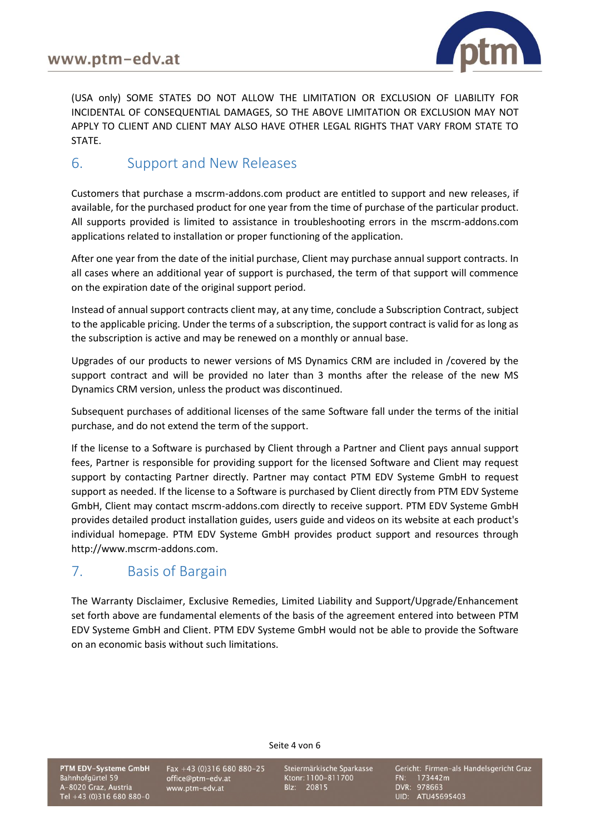

(USA only) SOME STATES DO NOT ALLOW THE LIMITATION OR EXCLUSION OF LIABILITY FOR INCIDENTAL OF CONSEQUENTIAL DAMAGES, SO THE ABOVE LIMITATION OR EXCLUSION MAY NOT APPLY TO CLIENT AND CLIENT MAY ALSO HAVE OTHER LEGAL RIGHTS THAT VARY FROM STATE TO STATE.

#### 6. Support and New Releases

Customers that purchase a mscrm-addons.com product are entitled to support and new releases, if available, for the purchased product for one year from the time of purchase of the particular product. All supports provided is limited to assistance in troubleshooting errors in the mscrm-addons.com applications related to installation or proper functioning of the application.

After one year from the date of the initial purchase, Client may purchase annual support contracts. In all cases where an additional year of support is purchased, the term of that support will commence on the expiration date of the original support period.

Instead of annual support contracts client may, at any time, conclude a Subscription Contract, subject to the applicable pricing. Under the terms of a subscription, the support contract is valid for as long as the subscription is active and may be renewed on a monthly or annual base.

Upgrades of our products to newer versions of MS Dynamics CRM are included in /covered by the support contract and will be provided no later than 3 months after the release of the new MS Dynamics CRM version, unless the product was discontinued.

Subsequent purchases of additional licenses of the same Software fall under the terms of the initial purchase, and do not extend the term of the support.

If the license to a Software is purchased by Client through a Partner and Client pays annual support fees, Partner is responsible for providing support for the licensed Software and Client may request support by contacting Partner directly. Partner may contact PTM EDV Systeme GmbH to request support as needed. If the license to a Software is purchased by Client directly from PTM EDV Systeme GmbH, Client may contact mscrm-addons.com directly to receive support. PTM EDV Systeme GmbH provides detailed product installation guides, users guide and videos on its website at each product's individual homepage. PTM EDV Systeme GmbH provides product support and resources through http://www.mscrm-addons.com.

#### 7. Basis of Bargain

The Warranty Disclaimer, Exclusive Remedies, Limited Liability and Support/Upgrade/Enhancement set forth above are fundamental elements of the basis of the agreement entered into between PTM EDV Systeme GmbH and Client. PTM EDV Systeme GmbH would not be able to provide the Software on an economic basis without such limitations.

Seite 4 von 6

PTM EDV-Systeme GmbH Bahnhofgürtel 59 A-8020 Graz, Austria Tel +43 (0)316 680 880-0 Fax +43 (0)316 680 880-25 office@ptm-edv.at www.ptm-edv.at

Steiermärkische Sparkasse Ktonr: 1100-811700 Blz: 20815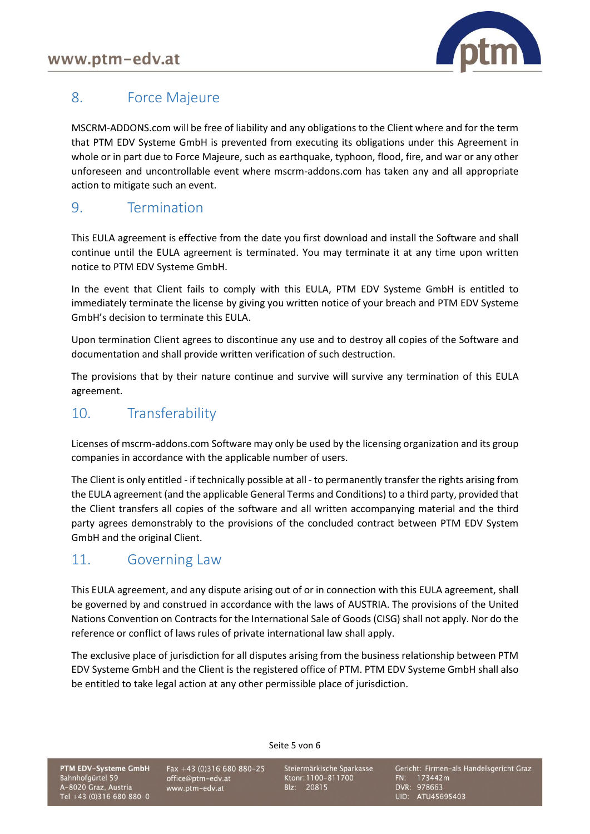

## 8. Force Majeure

MSCRM-ADDONS.com will be free of liability and any obligations to the Client where and for the term that PTM EDV Systeme GmbH is prevented from executing its obligations under this Agreement in whole or in part due to Force Majeure, such as earthquake, typhoon, flood, fire, and war or any other unforeseen and uncontrollable event where mscrm-addons.com has taken any and all appropriate action to mitigate such an event.

#### 9. Termination

This EULA agreement is effective from the date you first download and install the Software and shall continue until the EULA agreement is terminated. You may terminate it at any time upon written notice to PTM EDV Systeme GmbH.

In the event that Client fails to comply with this EULA, PTM EDV Systeme GmbH is entitled to immediately terminate the license by giving you written notice of your breach and PTM EDV Systeme GmbH's decision to terminate this EULA.

Upon termination Client agrees to discontinue any use and to destroy all copies of the Software and documentation and shall provide written verification of such destruction.

The provisions that by their nature continue and survive will survive any termination of this EULA agreement.

## 10. Transferability

Licenses of mscrm-addons.com Software may only be used by the licensing organization and its group companies in accordance with the applicable number of users.

The Client is only entitled - if technically possible at all - to permanently transfer the rights arising from the EULA agreement (and the applicable General Terms and Conditions) to a third party, provided that the Client transfers all copies of the software and all written accompanying material and the third party agrees demonstrably to the provisions of the concluded contract between PTM EDV System GmbH and the original Client.

#### 11. Governing Law

This EULA agreement, and any dispute arising out of or in connection with this EULA agreement, shall be governed by and construed in accordance with the laws of AUSTRIA. The provisions of the United Nations Convention on Contracts for the International Sale of Goods (CISG) shall not apply. Nor do the reference or conflict of laws rules of private international law shall apply.

The exclusive place of jurisdiction for all disputes arising from the business relationship between PTM EDV Systeme GmbH and the Client is the registered office of PTM. PTM EDV Systeme GmbH shall also be entitled to take legal action at any other permissible place of jurisdiction.

Seite 5 von 6

PTM EDV-Systeme GmbH Bahnhofgürtel 59 A-8020 Graz, Austria Tel +43 (0)316 680 880-0 Fax +43 (0)316 680 880-25 office@ptm-edv.at www.ptm-edv.at

Steiermärkische Sparkasse Ktonr: 1100-811700 Blz: 20815